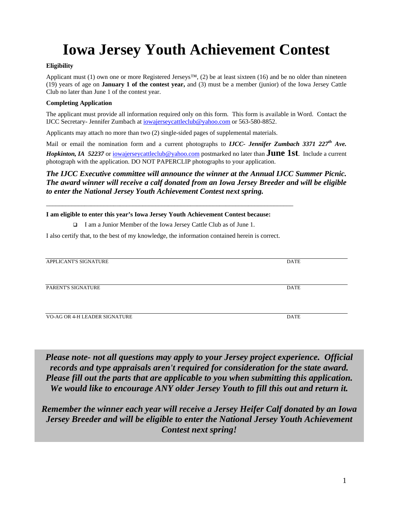# **Iowa Jersey Youth Achievement Contest**

#### **Eligibility**

Applicant must (1) own one or more Registered Jerseys<sup>™,</sup> (2) be at least sixteen (16) and be no older than nineteen (19) years of age on **January 1 of the contest year,** and (3) must be a member (junior) of the Iowa Jersey Cattle Club no later than June 1 of the contest year.

#### **Completing Application**

The applicant must provide all information required only on this form. This form is available in Word. Contact the IJCC Secretary- Jennifer Zumbach at iowajerseycattleclub@yahoo.com or 563-580-8852.

Applicants may attach no more than two (2) single-sided pages of supplemental materials.

Mail or email the nomination form and a current photographs to *IJCC- Jennifer Zumbach 3371 227th Ave. Hopkinton, IA 52237* or iowajerseycattleclub@yahoo.com postmarked no later than **June 1st**. Include a current photograph with the application. DO NOT PAPERCLIP photographs to your application.

#### *The IJCC Executive committee will announce the winner at the Annual IJCC Summer Picnic. The award winner will receive a calf donated from an Iowa Jersey Breeder and will be eligible to enter the National Jersey Youth Achievement Contest next spring.*

#### **I am eligible to enter this year's Iowa Jersey Youth Achievement Contest because:**

I am a Junior Member of the Iowa Jersey Cattle Club as of June 1.

\_\_\_\_\_\_\_\_\_\_\_\_\_\_\_\_\_\_\_\_\_\_\_\_\_\_\_\_\_\_\_\_\_\_\_\_\_\_\_\_\_\_\_\_\_\_\_\_\_\_\_\_\_\_\_\_\_\_\_\_\_\_\_\_\_\_\_\_\_\_\_\_\_\_\_\_\_

I also certify that, to the best of my knowledge, the information contained herein is correct.

| APPLICANT'S SIGNATURE         | DATE        |
|-------------------------------|-------------|
|                               |             |
|                               |             |
|                               |             |
| PARENT'S SIGNATURE            | <b>DATE</b> |
|                               |             |
|                               |             |
|                               |             |
|                               |             |
| VO-AG OR 4-H LEADER SIGNATURE | <b>DATE</b> |
|                               |             |

*Please note- not all questions may apply to your Jersey project experience. Official records and type appraisals aren't required for consideration for the state award. Please fill out the parts that are applicable to you when submitting this application. We would like to encourage ANY older Jersey Youth to fill this out and return it.* 

*Remember the winner each year will receive a Jersey Heifer Calf donated by an Iowa Jersey Breeder and will be eligible to enter the National Jersey Youth Achievement Contest next spring!*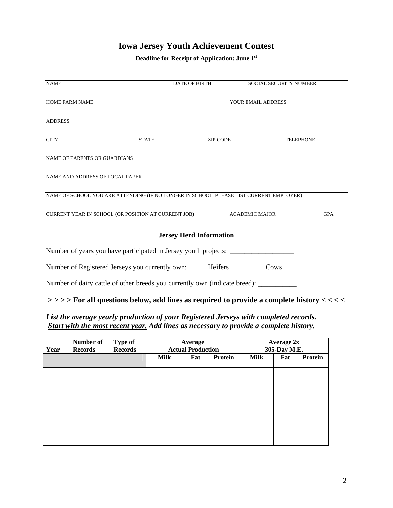# **Iowa Jersey Youth Achievement Contest**

**Deadline for Receipt of Application: June 1st**

| <b>NAME</b>                                                                             | <b>DATE OF BIRTH</b>           | <b>SOCIAL SECURITY NUMBER</b> |            |
|-----------------------------------------------------------------------------------------|--------------------------------|-------------------------------|------------|
|                                                                                         |                                |                               |            |
| <b>HOME FARM NAME</b>                                                                   |                                | YOUR EMAIL ADDRESS            |            |
|                                                                                         |                                |                               |            |
| <b>ADDRESS</b>                                                                          |                                |                               |            |
| <b>CITY</b><br><b>STATE</b>                                                             | ZIP CODE                       | <b>TELEPHONE</b>              |            |
| <b>NAME OF PARENTS OR GUARDIANS</b>                                                     |                                |                               |            |
| NAME AND ADDRESS OF LOCAL PAPER                                                         |                                |                               |            |
| NAME OF SCHOOL YOU ARE ATTENDING (IF NO LONGER IN SCHOOL, PLEASE LIST CURRENT EMPLOYER) |                                |                               |            |
| CURRENT YEAR IN SCHOOL (OR POSITION AT CURRENT JOB)                                     |                                | <b>ACADEMIC MAJOR</b>         | <b>GPA</b> |
|                                                                                         | <b>Jersey Herd Information</b> |                               |            |
| Number of years you have participated in Jersey youth projects:                         |                                |                               |            |
| Number of Registered Jerseys you currently own:                                         | Heifers ______                 | Cows                          |            |
| Number of dairy cattle of other breeds you currently own (indicate breed):              |                                |                               |            |

## **> > > > For all questions below, add lines as required to provide a complete history < < < <**

# *List the average yearly production of your Registered Jerseys with completed records. Start with the most recent year. Add lines as necessary to provide a complete history.*

| Year | Number of<br><b>Records</b> | <b>Type of</b><br><b>Records</b> |      | Average<br><b>Actual Production</b> |         |      | <b>Average 2x</b><br>305-Day M.E. |         |
|------|-----------------------------|----------------------------------|------|-------------------------------------|---------|------|-----------------------------------|---------|
|      |                             |                                  | Milk | Fat                                 | Protein | Milk | Fat                               | Protein |
|      |                             |                                  |      |                                     |         |      |                                   |         |
|      |                             |                                  |      |                                     |         |      |                                   |         |
|      |                             |                                  |      |                                     |         |      |                                   |         |
|      |                             |                                  |      |                                     |         |      |                                   |         |
|      |                             |                                  |      |                                     |         |      |                                   |         |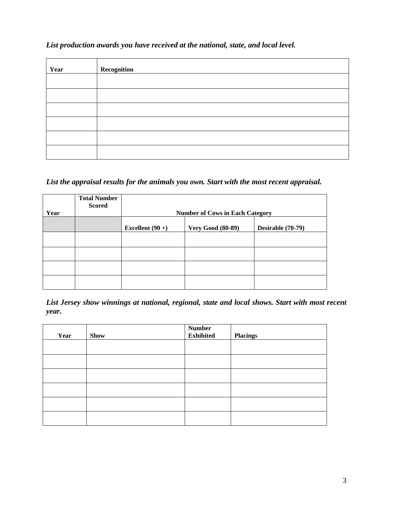# *List production awards you have received at the national, state, and local level.*

| Year | Recognition |
|------|-------------|
|      |             |
|      |             |
|      |             |
|      |             |
|      |             |
|      |             |

# *List the appraisal results for the animals you own. Start with the most recent appraisal.*

| Year | <b>Total Number</b><br><b>Scored</b> |                    | <b>Number of Cows in Each Category</b> |                   |
|------|--------------------------------------|--------------------|----------------------------------------|-------------------|
|      |                                      | Excellent $(90 +)$ | <b>Very Good (80-89)</b>               | Desirable (70-79) |
|      |                                      |                    |                                        |                   |
|      |                                      |                    |                                        |                   |
|      |                                      |                    |                                        |                   |
|      |                                      |                    |                                        |                   |

*List Jersey show winnings at national, regional, state and local shows. Start with most recent year.* 

| Year | <b>Show</b> | <b>Number</b><br><b>Exhibited</b> | <b>Placings</b> |
|------|-------------|-----------------------------------|-----------------|
|      |             |                                   |                 |
|      |             |                                   |                 |
|      |             |                                   |                 |
|      |             |                                   |                 |
|      |             |                                   |                 |
|      |             |                                   |                 |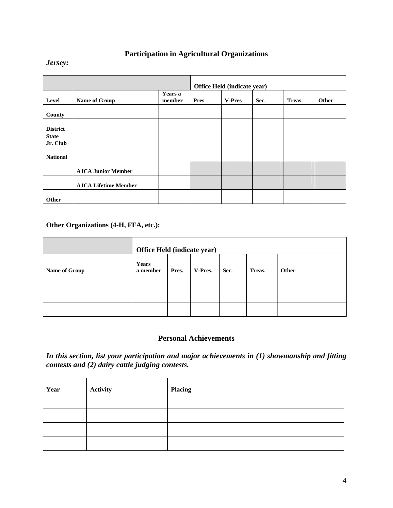# **Participation in Agricultural Organizations**

#### *Jersey:*

|                          |                             |                   |       | Office Held (indicate year) |      |        |       |
|--------------------------|-----------------------------|-------------------|-------|-----------------------------|------|--------|-------|
| Level                    | Name of Group               | Years a<br>member | Pres. | <b>V-Pres</b>               | Sec. | Treas. | Other |
| County                   |                             |                   |       |                             |      |        |       |
| <b>District</b>          |                             |                   |       |                             |      |        |       |
| <b>State</b><br>Jr. Club |                             |                   |       |                             |      |        |       |
| <b>National</b>          |                             |                   |       |                             |      |        |       |
|                          | <b>AJCA Junior Member</b>   |                   |       |                             |      |        |       |
|                          | <b>AJCA Lifetime Member</b> |                   |       |                             |      |        |       |
| Other                    |                             |                   |       |                             |      |        |       |

## **Other Organizations (4-H, FFA, etc.):**

|               | Office Held (indicate year)                                      |  |  |  |  |  |
|---------------|------------------------------------------------------------------|--|--|--|--|--|
| Name of Group | Years<br>Pres.<br>V-Pres.<br>Sec.<br>Other<br>Treas.<br>a member |  |  |  |  |  |
|               |                                                                  |  |  |  |  |  |
|               |                                                                  |  |  |  |  |  |
|               |                                                                  |  |  |  |  |  |

## **Personal Achievements**

*In this section, list your participation and major achievements in (1) showmanship and fitting contests and (2) dairy cattle judging contests.* 

| Year | <b>Activity</b> | <b>Placing</b> |
|------|-----------------|----------------|
|      |                 |                |
|      |                 |                |
|      |                 |                |
|      |                 |                |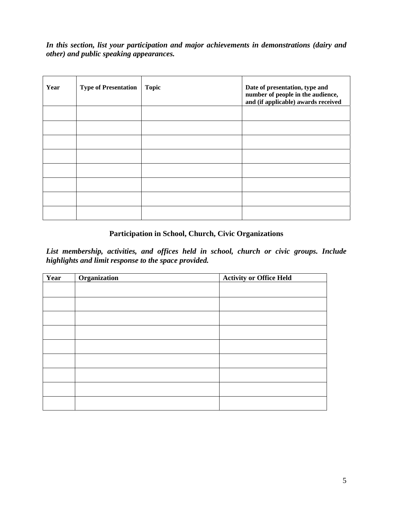*In this section, list your participation and major achievements in demonstrations (dairy and other) and public speaking appearances.* 

| Year | <b>Type of Presentation</b> | <b>Topic</b> | Date of presentation, type and<br>number of people in the audience,<br>and (if applicable) awards received |
|------|-----------------------------|--------------|------------------------------------------------------------------------------------------------------------|
|      |                             |              |                                                                                                            |
|      |                             |              |                                                                                                            |
|      |                             |              |                                                                                                            |
|      |                             |              |                                                                                                            |
|      |                             |              |                                                                                                            |
|      |                             |              |                                                                                                            |
|      |                             |              |                                                                                                            |
|      |                             |              |                                                                                                            |

## **Participation in School, Church, Civic Organizations**

*List membership, activities, and offices held in school, church or civic groups. Include highlights and limit response to the space provided.* 

| Year | Organization | <b>Activity or Office Held</b> |
|------|--------------|--------------------------------|
|      |              |                                |
|      |              |                                |
|      |              |                                |
|      |              |                                |
|      |              |                                |
|      |              |                                |
|      |              |                                |
|      |              |                                |
|      |              |                                |
|      |              |                                |